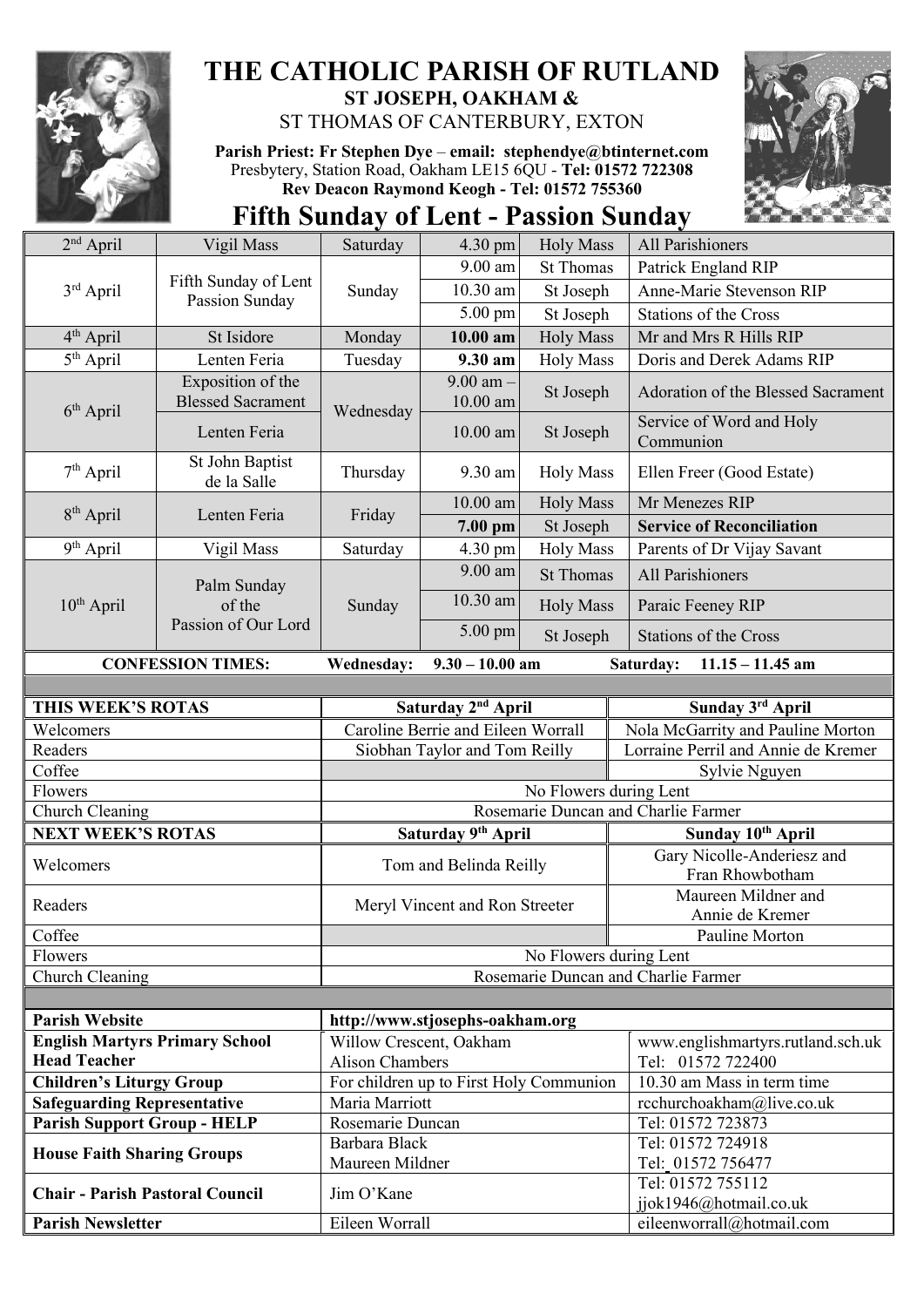

## **THE CATHOLIC PARISH OF RUTLAND ST JOSEPH, OAKHAM &**  ST THOMAS OF CANTERBURY, EXTON

**Parish Priest: Fr Stephen Dye** – **[email: stephendye@btinternet.com](mailto:email:%20%20stephendye@btinternet.com)** Presbytery, Station Road, Oakham LE15 6QU - **Tel: 01572 722308 Rev Deacon Raymond Keogh - Tel: 01572 755360**

**Fifth Sunday of Lent - Passion Sunday**

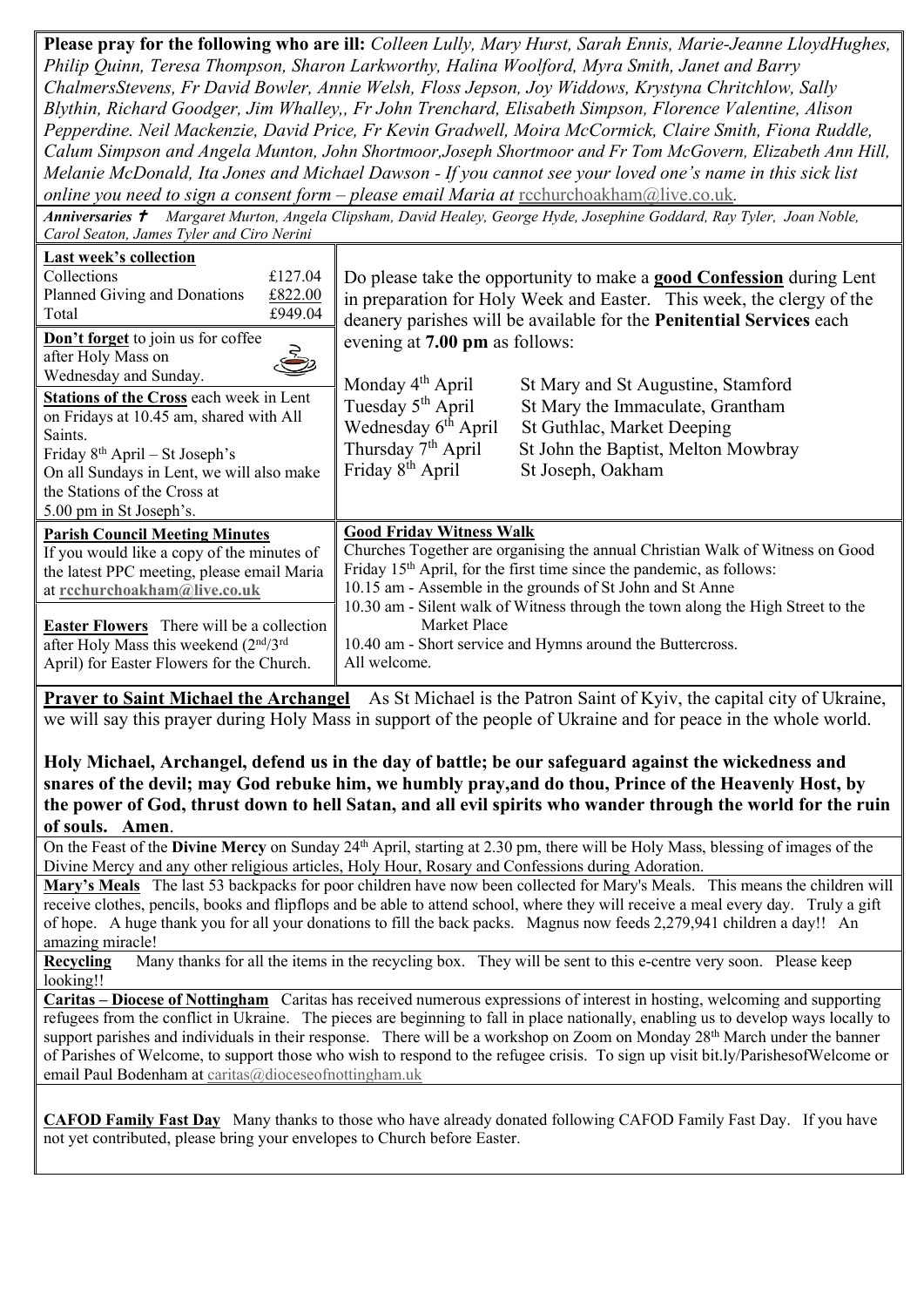**Please pray for the following who are ill:** *Colleen Lully, Mary Hurst, Sarah Ennis, Marie-Jeanne LloydHughes, Philip Quinn, Teresa Thompson, Sharon Larkworthy, Halina Woolford, Myra Smith, Janet and Barry ChalmersStevens, Fr David Bowler, Annie Welsh, Floss Jepson, Joy Widdows, Krystyna Chritchlow, Sally Blythin, Richard Goodger, Jim Whalley,, Fr John Trenchard, Elisabeth Simpson, Florence Valentine, Alison Pepperdine. Neil Mackenzie, David Price, Fr Kevin Gradwell, Moira McCormick, Claire Smith, Fiona Ruddle, Calum Simpson and Angela Munton, John Shortmoor,Joseph Shortmoor and Fr Tom McGovern, Elizabeth Ann Hill, Melanie McDonald, Ita Jones and Michael Dawson - If you cannot see your loved one's name in this sick list online you need to sign a consent form – please email Maria at* [rcchurchoakham@live.co.uk](mailto:rcchurchoakham@live.co.uk)*.*

*Anniversaries Margaret Murton, Angela Clipsham, David Healey, George Hyde, Josephine Goddard, Ray Tyler, Joan Noble, Carol Seaton, James Tyler and Ciro Nerini*

| Carol Beaton, James Tyler and Ciro Nerthi                                                                                                                                                                                                           |  |                                                                                                                                                                                                                                                                                                                                    |                                                                                                                                                                  |
|-----------------------------------------------------------------------------------------------------------------------------------------------------------------------------------------------------------------------------------------------------|--|------------------------------------------------------------------------------------------------------------------------------------------------------------------------------------------------------------------------------------------------------------------------------------------------------------------------------------|------------------------------------------------------------------------------------------------------------------------------------------------------------------|
| Last week's collection<br>Collections<br>£127.04<br>Planned Giving and Donations<br>£822.00<br>£949.04<br>Total                                                                                                                                     |  | Do please take the opportunity to make a <b>good Confession</b> during Lent<br>in preparation for Holy Week and Easter. This week, the clergy of the<br>deanery parishes will be available for the Penitential Services each                                                                                                       |                                                                                                                                                                  |
| Don't forget to join us for coffee<br>after Holy Mass on<br>Wednesday and Sunday.                                                                                                                                                                   |  | evening at 7.00 pm as follows:                                                                                                                                                                                                                                                                                                     |                                                                                                                                                                  |
| Stations of the Cross each week in Lent<br>on Fridays at 10.45 am, shared with All<br>Saints.<br>Friday 8 <sup>th</sup> April – St Joseph's<br>On all Sundays in Lent, we will also make<br>the Stations of the Cross at<br>5.00 pm in St Joseph's. |  | Monday 4 <sup>th</sup> April<br>Tuesday 5 <sup>th</sup> April<br>Wednesday 6 <sup>th</sup> April<br>Thursday 7 <sup>th</sup> April<br>Friday 8 <sup>th</sup> April                                                                                                                                                                 | St Mary and St Augustine, Stamford<br>St Mary the Immaculate, Grantham<br>St Guthlac, Market Deeping<br>St John the Baptist, Melton Mowbray<br>St Joseph, Oakham |
| <b>Parish Council Meeting Minutes</b>                                                                                                                                                                                                               |  | <b>Good Friday Witness Walk</b>                                                                                                                                                                                                                                                                                                    |                                                                                                                                                                  |
| If you would like a copy of the minutes of<br>the latest PPC meeting, please email Maria<br>at rechurchoakham@live.co.uk<br><b>Easter Flowers</b> There will be a collection                                                                        |  | Churches Together are organising the annual Christian Walk of Witness on Good<br>Friday 15 <sup>th</sup> April, for the first time since the pandemic, as follows:<br>10.15 am - Assemble in the grounds of St John and St Anne<br>10.30 am - Silent walk of Witness through the town along the High Street to the<br>Market Place |                                                                                                                                                                  |
| after Holy Mass this weekend (2nd/3rd<br>April) for Easter Flowers for the Church.                                                                                                                                                                  |  | 10.40 am - Short service and Hymns around the Buttercross.<br>All welcome.                                                                                                                                                                                                                                                         |                                                                                                                                                                  |

**Prayer to Saint Michael the Archangel** As St Michael is the Patron Saint of Kyiv, the capital city of Ukraine, we will say this prayer during Holy Mass in support of the people of Ukraine and for peace in the whole world.

**Holy Michael, Archangel, defend us in the day of battle; be our safeguard against the wickedness and snares of the devil; may God rebuke him, we humbly pray,and do thou, Prince of the Heavenly Host, by the power of God, thrust down to hell Satan, and all evil spirits who wander through the world for the ruin of souls. Amen**.

On the Feast of the **Divine Mercy** on Sunday 24th April, starting at 2.30 pm, there will be Holy Mass, blessing of images of the Divine Mercy and any other religious articles, Holy Hour, Rosary and Confessions during Adoration.

**Mary's Meals** The last 53 backpacks for poor children have now been collected for Mary's Meals. This means the children will receive clothes, pencils, books and flipflops and be able to attend school, where they will receive a meal every day. Truly a gift of hope. A huge thank you for all your donations to fill the back packs. Magnus now feeds 2,279,941 children a day!! An amazing miracle!

**Recycling** Many thanks for all the items in the recycling box. They will be sent to this e-centre very soon. Please keep looking!!

**Caritas – Diocese of Nottingham** Caritas has received numerous expressions of interest in hosting, welcoming and supporting refugees from the conflict in Ukraine. The pieces are beginning to fall in place nationally, enabling us to develop ways locally to support parishes and individuals in their response. There will be a workshop on Zoom on Monday 28<sup>th</sup> March under the banner of Parishes of Welcome, to support those who wish to respond to the refugee crisis. To sign up visit bit.ly/ParishesofWelcome or email Paul Bodenham a[t caritas@dioceseofnottingham.uk](mailto:caritas@dioceseofnottingham.uk)

**CAFOD Family Fast Day** Many thanks to those who have already donated following CAFOD Family Fast Day. If you have not yet contributed, please bring your envelopes to Church before Easter.